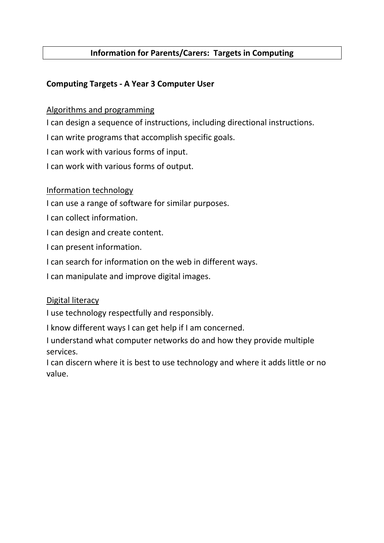# Information for Parents/Carers: Targets in Computing

# Computing Targets - A Year 3 Computer User

## Algorithms and programming

I can design a sequence of instructions, including directional instructions.

I can write programs that accomplish specific goals.

I can work with various forms of input.

I can work with various forms of output.

### Information technology

I can use a range of software for similar purposes.

I can collect information.

I can design and create content.

I can present information.

I can search for information on the web in different ways.

I can manipulate and improve digital images.

### Digital literacy

I use technology respectfully and responsibly.

I know different ways I can get help if I am concerned.

I understand what computer networks do and how they provide multiple services.

I can discern where it is best to use technology and where it adds little or no value.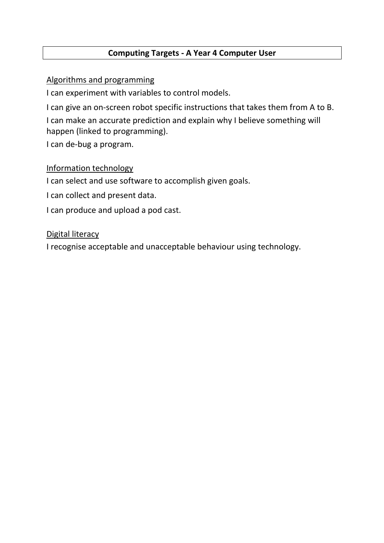# Computing Targets - A Year 4 Computer User

Algorithms and programming

I can experiment with variables to control models.

I can give an on-screen robot specific instructions that takes them from A to B.

I can make an accurate prediction and explain why I believe something will happen (linked to programming).

I can de-bug a program.

# Information technology

I can select and use software to accomplish given goals.

I can collect and present data.

I can produce and upload a pod cast.

## Digital literacy

I recognise acceptable and unacceptable behaviour using technology.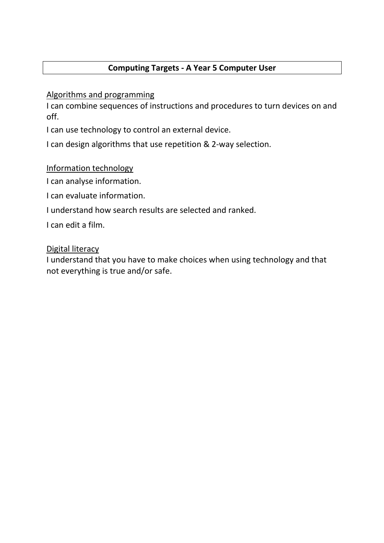# Computing Targets - A Year 5 Computer User

Algorithms and programming

I can combine sequences of instructions and procedures to turn devices on and off.

I can use technology to control an external device.

I can design algorithms that use repetition & 2-way selection.

Information technology

I can analyse information.

I can evaluate information.

I understand how search results are selected and ranked.

I can edit a film.

## Digital literacy

I understand that you have to make choices when using technology and that not everything is true and/or safe.